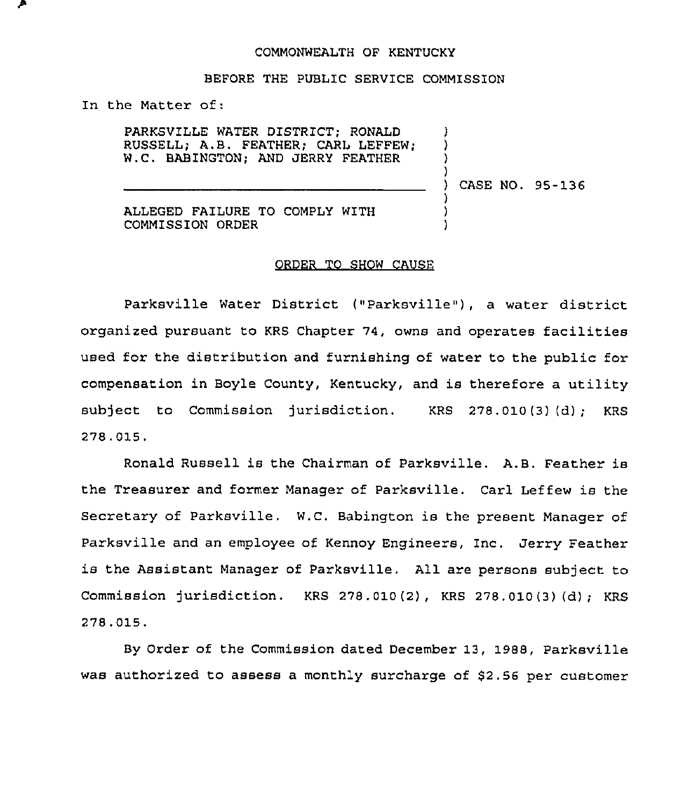## COMMONWEALTH OF KENTUCKY

## BEFORE THE PUBLIC SERVICE COMMISSION

In the Matter of:

PARKSVILLE WATER DISTRICT; RONALD RUSSELL; A.B. FEATHER; CARL LEFFEW; W.C. BABINGTON; AND JERRY FEATHER

) CASE NO. 95-136

) ) ) )

) ) )

ALLEGED FAILURE TO COMPLY WITH COMMISSION ORDER

## ORDER TO SHOW CAUSE

Parksville Water District ("Parksville"), a water district organized pursuant to KRS Chapter 74, owns and operates facilities used for the distribution and furnishing of water to the public for compensation in Boyle County, Kentucky, and is therefore a utility subject to Commission jurisdiction. KRS 278.010(3) (d); KRS 278.015,

Ronald Russell is the Chairman of Parksville. A.B. Feather is the Treasurer and former Manager of Parksville. Carl Leffew is the Secretary of Parksville. W.C. Babington is the present Manager of Parksville and an employee of Kennoy Engineers, Inc. Jerry Feather is the Assistant Manager of Parksville. All are persons subject to Commission jurisdiction. KRS 278.010(2), KRS 278.010(3) (d); KRS 278.015.

By Order of the Commission dated December 13, 1988, Parksville was authorized to assess a monthly surcharge of 52.56 per customer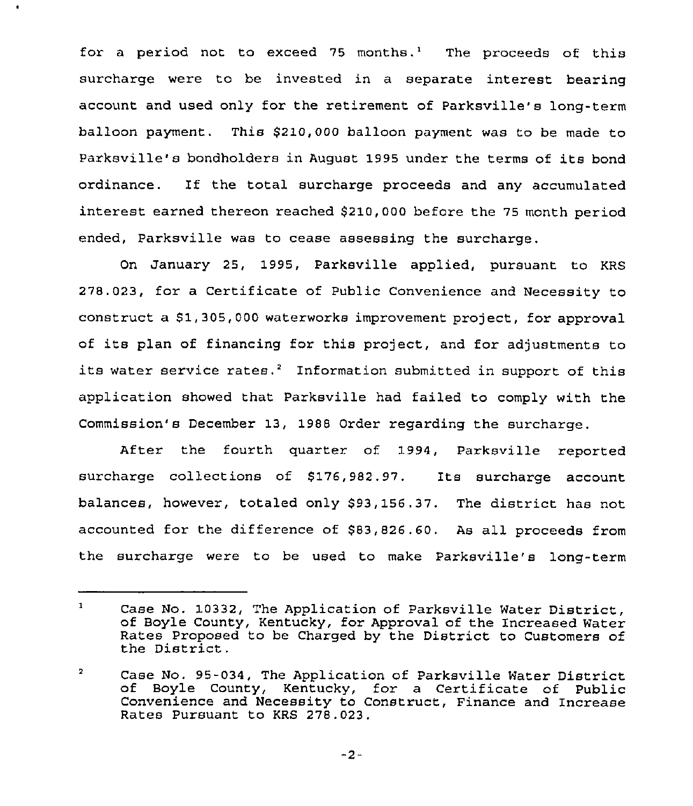for a period not to exceed 75 months.<sup>1</sup> The proceeds of this surcharge were to be invested in a separate interest bearing account and used only for the retirement of Parksville's long-term balloon payment. This \$210,000 balloon payment was to be made to Paxksville's bondholders in August 1995 under the terms of its bond ordinance. If the total surcharge proceeds and any accumulated interest earned thereon reached \$210,000 before the 75 month period ended, Parksville was to cease assessing the surcharge.

 $\bullet$ 

On January 25, 1995, Parksville applied, pursuant to KRS 278.023, for a Certificate of Public Convenience and Necessity to construct a \$1,305,000 waterworks improvement project, for approval of its plan of financing for this project, and for adjustments to its water service rates.<sup>2</sup> Information submitted in support of this application showed that Parksville had failed to comply with the Commission's December 13, 1988 Order regarding the surcharge.

After the fourth quarter of 1994, Parksville reported surcharge collections of \$176,982.97. Its surcharge account balances, however, totaled only \$93,156.37. The district has not accounted for the difference of \$83,826.60. As all proceeds from the surcharge were to be used to make Parksville's long-texm

 $\mathbf{1}$ Case No. 10332, The Application of Parksville Water District, of Boyle County, Kentucky, for Approval of the Increased Water Rates Proposed to be Charged by the District to Customers of the District.

 $\overline{\mathbf{2}}$ Case No. 95-034, The Application of Parksville Water District of Boyle County, Kentucky, for <sup>a</sup> Certificate of Public Convenience and Necessity to Construct, Finance and Increase Rates Pursuant to KRS 278.023.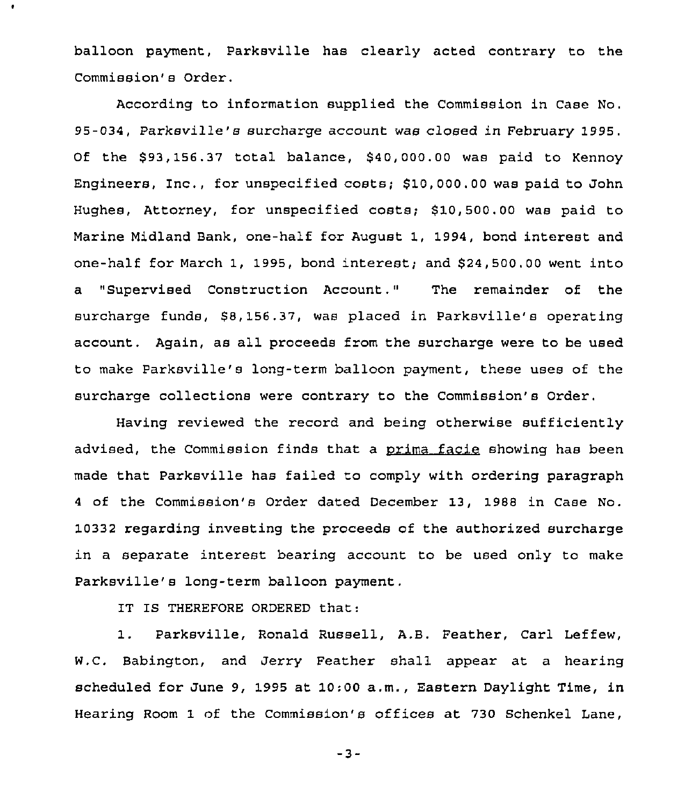balloon payment, Parksville has clearly acted contrary to the Commission's Order.

According to information supplied the Commission in Case No. 95-034, Parksville's surcharge account was closed in February 1995. Of the \$93,156.37 total balance, \$40,000.00 was paid to Kennoy Engineers, Inc., for unspecified costs; \$ 10,000.00 was paid to John Hughes, Attorney, for unspecified costs; \$ 10,500.00 was paid to Marine Midland Bank, one-half for August 1, 1994, bond interest and one-half for March 1, 1995, bond interest; and \$ 24,500.00 went into a "Supervised Construction Account." The remainder of the surcharge funds, \$8,156.37, was placed in Parksville's operating account. Again, as all proceeds from the surcharge were to be used to make Parksville's long-term balloon payment, these uses of the surcharge collections were contrary to the Commission's Order.

Having reviewed the record and being otherwise sufficiently advised, the Commission finds that a orima facie showing has been made that Parksville has failed to comply with ordering paragraph <sup>4</sup> of the Commission's Order dated December 13, 1988 in Case No. 10332 regarding investing the proceeds of the authorized surcharge in a separate interest bearing account to be used only to make Parksville's long-term balloon payment,

IT IS THEREFORE ORDERED that:

 $\bullet$ 

1. Parksville, Ronald Russell, A.B. Feather, Carl Leffew, W.C. Babington, and Jerry Feather shall appear at a hearing scheduled for June 9, 1995 at 10:00 a.m., Eastern Daylight Time, in Hearing Room 1 of the Commission's offices at 730 Schenkel Lane,

 $-3-$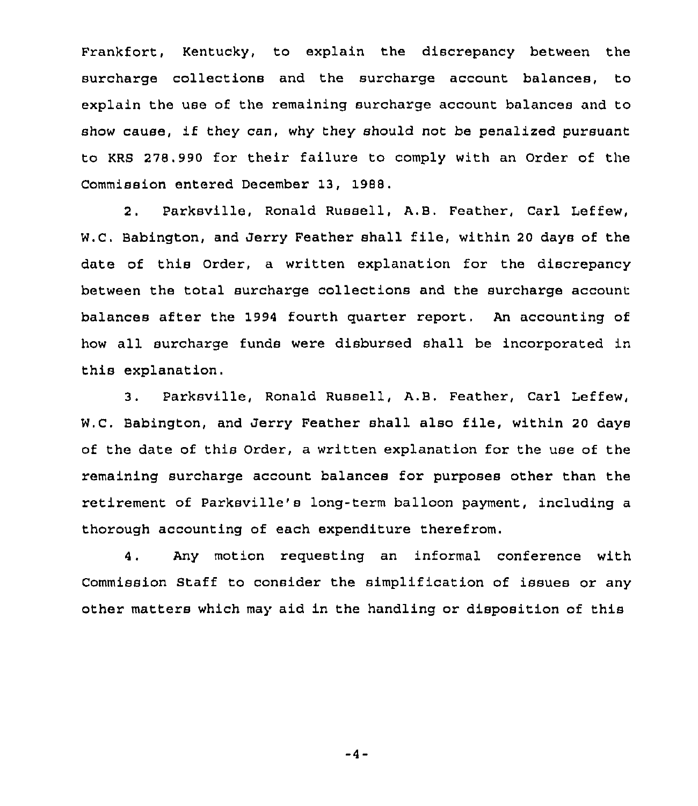Frankfort, Kentucky, to explain the discrepancy between the surcharge collections and the surcharge account balances, to explain the use of the remaining surcharge account balances and to show cause, if they can, why they should not be penalized pursuant to KRS 278.990 for their failure to comply with an Order of the Commission entered December 13, 1988.

2. Parksville, Ronald Russell, A.B. Feather, Carl Leffew, W.C. Babington, and Jerry Feather shall file, within <sup>20</sup> days of the date of this Order, a written explanation for the discrepancy between the total surcharge collections and the surcharge account balances after the 1994 fourth quarter report. An accounting of how all surcharge funds were disbursed shall be incorporated in this explanation.

3. Parksville, Ronald Russell, A.B. Feather, Carl Leffew, W.C. Babington, and Jerry Feather shall also file, within <sup>20</sup> days of the date of this Order, a written explanation for the use of the remaining surcharge account balances for purposes other than the retirement of Parksville's long-term balloon payment, including a thorough accounting of each expenditure therefrom.

4. Any motion requesting an informal conference with Commission Staff to consider the simplification of issues or any other matters which may aid in the handling or disposition of this

 $-4-$